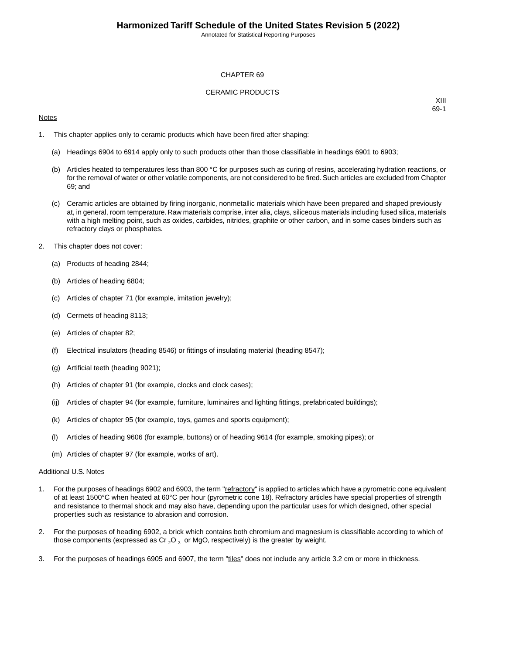#### CHAPTER 69

#### CERAMIC PRODUCTS

#### **Notes**

XIII 69-1

- 1. This chapter applies only to ceramic products which have been fired after shaping:
	- (a) Headings 6904 to 6914 apply only to such products other than those classifiable in headings 6901 to 6903;
	- (b) Articles heated to temperatures less than 800 °C for purposes such as curing of resins, accelerating hydration reactions, or for the removal of water or other volatile components, are not considered to be fired. Such articles are excluded from Chapter 69; and
	- (c) Ceramic articles are obtained by firing inorganic, nonmetallic materials which have been prepared and shaped previously at, in general, room temperature. Raw materials comprise, inter alia, clays, siliceous materials including fused silica, materials with a high melting point, such as oxides, carbides, nitrides, graphite or other carbon, and in some cases binders such as refractory clays or phosphates.
- 2. This chapter does not cover:
	- (a) Products of heading 2844;
	- (b) Articles of heading 6804;
	- (c) Articles of chapter 71 (for example, imitation jewelry);
	- (d) Cermets of heading 8113;
	- (e) Articles of chapter 82;
	- (f) Electrical insulators (heading 8546) or fittings of insulating material (heading 8547);
	- (g) Artificial teeth (heading 9021);
	- (h) Articles of chapter 91 (for example, clocks and clock cases);
	- (ij) Articles of chapter 94 (for example, furniture, luminaires and lighting fittings, prefabricated buildings);
	- (k) Articles of chapter 95 (for example, toys, games and sports equipment);
	- (l) Articles of heading 9606 (for example, buttons) or of heading 9614 (for example, smoking pipes); or
	- (m) Articles of chapter 97 (for example, works of art).

#### Additional U.S. Notes

- 1. For the purposes of headings 6902 and 6903, the term "refractory" is applied to articles which have a pyrometric cone equivalent of at least 1500°C when heated at 60°C per hour (pyrometric cone 18). Refractory articles have special properties of strength and resistance to thermal shock and may also have, depending upon the particular uses for which designed, other special properties such as resistance to abrasion and corrosion.
- 2. For the purposes of heading 6902, a brick which contains both chromium and magnesium is classifiable according to which of those components (expressed as Cr  $_2$ O  $_3$  or MgO, respectively) is the greater by weight.
- 3. For the purposes of headings 6905 and 6907, the term "tiles" does not include any article 3.2 cm or more in thickness.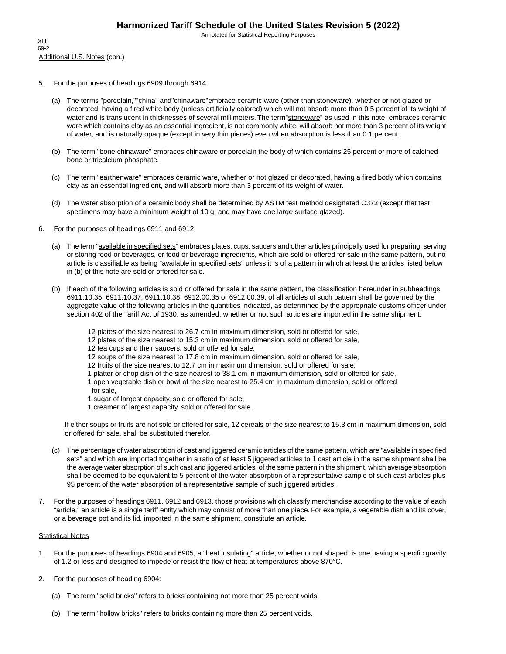- 5. For the purposes of headings 6909 through 6914:
	- (a) The terms "porcelain,""china" and"chinaware"embrace ceramic ware (other than stoneware), whether or not glazed or decorated, having a fired white body (unless artificially colored) which will not absorb more than 0.5 percent of its weight of water and is translucent in thicknesses of several millimeters. The term"stoneware" as used in this note, embraces ceramic ware which contains clay as an essential ingredient, is not commonly white, will absorb not more than 3 percent of its weight of water, and is naturally opaque (except in very thin pieces) even when absorption is less than 0.1 percent.
	- (b) The term "bone chinaware" embraces chinaware or porcelain the body of which contains 25 percent or more of calcined bone or tricalcium phosphate.
	- (c) The term "earthenware" embraces ceramic ware, whether or not glazed or decorated, having a fired body which contains clay as an essential ingredient, and will absorb more than 3 percent of its weight of water.
	- (d) The water absorption of a ceramic body shall be determined by ASTM test method designated C373 (except that test specimens may have a minimum weight of 10 g, and may have one large surface glazed).
- 6. For the purposes of headings 6911 and 6912:
	- (a) The term "*available in specified sets*" embraces plates, cups, saucers and other articles principally used for preparing, serving or storing food or beverages, or food or beverage ingredients, which are sold or offered for sale in the same pattern, but no article is classifiable as being "available in specified sets" unless it is of a pattern in which at least the articles listed below in (b) of this note are sold or offered for sale.
	- (b) If each of the following articles is sold or offered for sale in the same pattern, the classification hereunder in subheadings 6911.10.35, 6911.10.37, 6911.10.38, 6912.00.35 or 6912.00.39, of all articles of such pattern shall be governed by the aggregate value of the following articles in the quantities indicated, as determined by the appropriate customs officer under section 402 of the Tariff Act of 1930, as amended, whether or not such articles are imported in the same shipment:
		- 12 plates of the size nearest to 26.7 cm in maximum dimension, sold or offered for sale,
		- 12 plates of the size nearest to 15.3 cm in maximum dimension, sold or offered for sale,
		- 12 tea cups and their saucers, sold or offered for sale,
		- 12 soups of the size nearest to 17.8 cm in maximum dimension, sold or offered for sale,
		- 12 fruits of the size nearest to 12.7 cm in maximum dimension, sold or offered for sale,
		- 1 platter or chop dish of the size nearest to 38.1 cm in maximum dimension, sold or offered for sale,
		- 1 open vegetable dish or bowl of the size nearest to 25.4 cm in maximum dimension, sold or offered for sale,
		- 1 sugar of largest capacity, sold or offered for sale,
		- 1 creamer of largest capacity, sold or offered for sale.

If either soups or fruits are not sold or offered for sale, 12 cereals of the size nearest to 15.3 cm in maximum dimension, sold or offered for sale, shall be substituted therefor.

- (c) The percentage of water absorption of cast and jiggered ceramic articles of the same pattern, which are "available in specified sets" and which are imported together in a ratio of at least 5 jiggered articles to 1 cast article in the same shipment shall be the average water absorption of such cast and jiggered articles, of the same pattern in the shipment, which average absorption shall be deemed to be equivalent to 5 percent of the water absorption of a representative sample of such cast articles plus 95 percent of the water absorption of a representative sample of such jiggered articles.
- 7. For the purposes of headings 6911, 6912 and 6913, those provisions which classify merchandise according to the value of each "article," an article is a single tariff entity which may consist of more than one piece. For example, a vegetable dish and its cover, or a beverage pot and its lid, imported in the same shipment, constitute an article.

#### **Statistical Notes**

- 1. For the purposes of headings 6904 and 6905, a "heat insulating" article, whether or not shaped, is one having a specific gravity of 1.2 or less and designed to impede or resist the flow of heat at temperatures above 870°C.
- 2. For the purposes of heading 6904:
	- (a) The term "solid bricks" refers to bricks containing not more than 25 percent voids.
	- (b) The term "hollow bricks" refers to bricks containing more than 25 percent voids.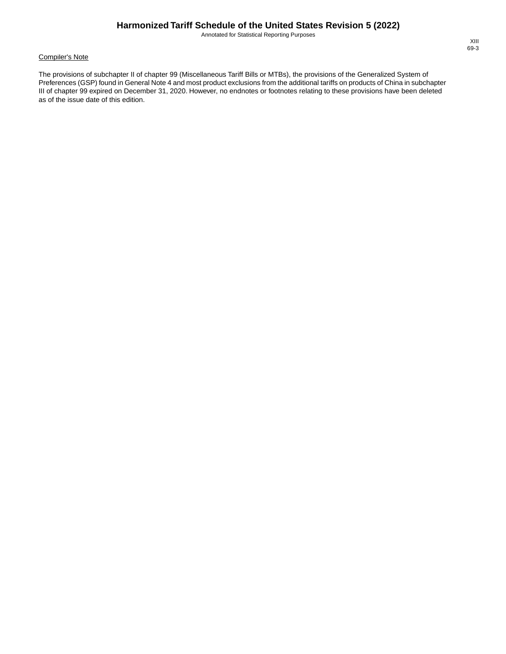#### Compiler's Note

The provisions of subchapter II of chapter 99 (Miscellaneous Tariff Bills or MTBs), the provisions of the Generalized System of Preferences (GSP) found in General Note 4 and most product exclusions from the additional tariffs on products of China in subchapter III of chapter 99 expired on December 31, 2020. However, no endnotes or footnotes relating to these provisions have been deleted as of the issue date of this edition.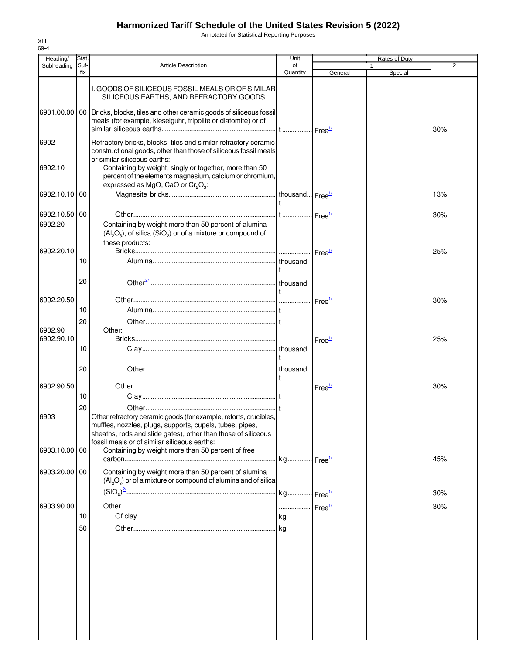Annotated for Statistical Reporting Purposes

| Heading/      | Stat.       |                                                                                                                                                                                                                                               | Unit           |                    | <b>Rates of Duty</b> |                |
|---------------|-------------|-----------------------------------------------------------------------------------------------------------------------------------------------------------------------------------------------------------------------------------------------|----------------|--------------------|----------------------|----------------|
| Subheading    | Suf-<br>fix | <b>Article Description</b>                                                                                                                                                                                                                    | of<br>Quantity | General            | Special              | $\overline{2}$ |
|               |             | I. GOODS OF SILICEOUS FOSSIL MEALS OR OF SIMILAR<br>SILICEOUS EARTHS, AND REFRACTORY GOODS<br>6901.00.00   00   Bricks, blocks, tiles and other ceramic goods of siliceous fossil                                                             |                |                    |                      |                |
|               |             | meals (for example, kieselguhr, tripolite or diatomite) or of                                                                                                                                                                                 |                |                    |                      | 30%            |
| 6902          |             | Refractory bricks, blocks, tiles and similar refractory ceramic<br>constructional goods, other than those of siliceous fossil meals<br>or similar siliceous earths:                                                                           |                |                    |                      |                |
| 6902.10       |             | Containing by weight, singly or together, more than 50<br>percent of the elements magnesium, calcium or chromium,<br>expressed as MgO, CaO or $Cr_2O_3$ :                                                                                     |                |                    |                      |                |
| 6902.10.10 00 |             |                                                                                                                                                                                                                                               |                |                    |                      | 13%            |
| 6902.10.50 00 |             |                                                                                                                                                                                                                                               |                |                    |                      | 30%            |
| 6902.20       |             | Containing by weight more than 50 percent of alumina<br>$(Al_2O_3)$ , of silica $(SiO_2)$ or of a mixture or compound of<br>these products:                                                                                                   |                |                    |                      |                |
| 6902.20.10    |             |                                                                                                                                                                                                                                               |                | Free <sup>1/</sup> |                      | 25%            |
|               | 10          |                                                                                                                                                                                                                                               |                |                    |                      |                |
|               | 20          |                                                                                                                                                                                                                                               |                |                    |                      |                |
| 6902.20.50    |             |                                                                                                                                                                                                                                               |                |                    |                      | 30%            |
|               | 10          |                                                                                                                                                                                                                                               |                |                    |                      |                |
|               | 20          |                                                                                                                                                                                                                                               |                |                    |                      |                |
| 6902.90       |             | Other:                                                                                                                                                                                                                                        |                |                    |                      |                |
| 6902.90.10    |             |                                                                                                                                                                                                                                               |                | Free <sup>1/</sup> |                      | 25%            |
|               | 10          |                                                                                                                                                                                                                                               |                |                    |                      |                |
|               |             |                                                                                                                                                                                                                                               |                |                    |                      |                |
|               | 20          |                                                                                                                                                                                                                                               |                |                    |                      |                |
|               |             |                                                                                                                                                                                                                                               |                |                    |                      |                |
| 6902.90.50    |             |                                                                                                                                                                                                                                               |                | Free <sup>1/</sup> |                      | 30%            |
|               | 10          |                                                                                                                                                                                                                                               |                |                    |                      |                |
|               | 20          |                                                                                                                                                                                                                                               |                |                    |                      |                |
| 6903          |             | Other refractory ceramic goods (for example, retorts, crucibles,<br>muffles, nozzles, plugs, supports, cupels, tubes, pipes,<br>sheaths, rods and slide gates), other than those of siliceous<br>fossil meals or of similar siliceous earths: |                |                    |                      |                |
| 6903.10.00 00 |             | Containing by weight more than 50 percent of free                                                                                                                                                                                             |                |                    |                      | 45%            |
| 6903.20.00 00 |             | Containing by weight more than 50 percent of alumina<br>$(Al_2O_3)$ or of a mixture or compound of alumina and of silica                                                                                                                      |                |                    |                      |                |
|               |             |                                                                                                                                                                                                                                               |                |                    |                      | 30%            |
| 6903.90.00    |             |                                                                                                                                                                                                                                               |                |                    |                      | 30%            |
|               | 10          |                                                                                                                                                                                                                                               |                |                    |                      |                |
|               | 50          |                                                                                                                                                                                                                                               |                |                    |                      |                |
|               |             |                                                                                                                                                                                                                                               |                |                    |                      |                |
|               |             |                                                                                                                                                                                                                                               |                |                    |                      |                |
|               |             |                                                                                                                                                                                                                                               |                |                    |                      |                |
|               |             |                                                                                                                                                                                                                                               |                |                    |                      |                |
|               |             |                                                                                                                                                                                                                                               |                |                    |                      |                |
|               |             |                                                                                                                                                                                                                                               |                |                    |                      |                |
|               |             |                                                                                                                                                                                                                                               |                |                    |                      |                |
|               |             |                                                                                                                                                                                                                                               |                |                    |                      |                |
|               |             |                                                                                                                                                                                                                                               |                |                    |                      |                |
|               |             |                                                                                                                                                                                                                                               |                |                    |                      |                |
|               |             |                                                                                                                                                                                                                                               |                |                    |                      |                |
|               |             |                                                                                                                                                                                                                                               |                |                    |                      |                |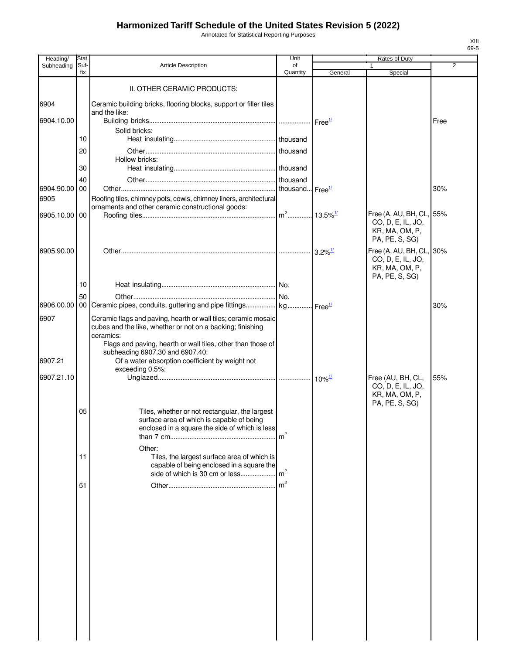Annotated for Statistical Reporting Purposes

| Heading/      | Stat.       |                                                                                             | Unit            |                               | Rates of Duty                                 |                |
|---------------|-------------|---------------------------------------------------------------------------------------------|-----------------|-------------------------------|-----------------------------------------------|----------------|
| Subheading    | Suf-<br>fix | <b>Article Description</b>                                                                  | of<br>Quantity  | General                       | Special                                       | $\overline{2}$ |
|               |             |                                                                                             |                 |                               |                                               |                |
|               |             | II. OTHER CERAMIC PRODUCTS:                                                                 |                 |                               |                                               |                |
| 6904          |             | Ceramic building bricks, flooring blocks, support or filler tiles                           |                 |                               |                                               |                |
| 6904.10.00    |             | and the like:                                                                               |                 | $I$ Free $\frac{1}{2}$        |                                               | Free           |
|               |             | Solid bricks:                                                                               |                 |                               |                                               |                |
|               | 10          |                                                                                             |                 |                               |                                               |                |
|               | 20          |                                                                                             |                 |                               |                                               |                |
|               |             | Hollow bricks:                                                                              |                 |                               |                                               |                |
|               | 30          |                                                                                             |                 |                               |                                               |                |
| 6904.90.00 00 | 40          |                                                                                             |                 |                               |                                               | 30%            |
| 6905          |             | Roofing tiles, chimney pots, cowls, chimney liners, architectural                           |                 |                               |                                               |                |
|               |             | ornaments and other ceramic constructional goods:                                           |                 |                               |                                               |                |
| 6905.10.00 00 |             |                                                                                             |                 |                               | Free (A, AU, BH, CL, 55%<br>CO, D, E, IL, JO, |                |
|               |             |                                                                                             |                 |                               | KR, MA, OM, P,                                |                |
|               |             |                                                                                             |                 |                               | PA, PE, S, SG)                                |                |
| 6905.90.00    |             |                                                                                             |                 | $3.2\%$ <sup>1/</sup>         | Free (A, AU, BH, CL, 30%                      |                |
|               |             |                                                                                             |                 |                               | CO, D, E, IL, JO,<br>KR, MA, OM, P,           |                |
|               |             |                                                                                             |                 |                               | PA, PE, S, SG)                                |                |
|               | 10          |                                                                                             |                 |                               |                                               |                |
|               | 50          |                                                                                             |                 |                               |                                               |                |
|               |             | 6906.00.00 00 Ceramic pipes, conduits, guttering and pipe fittings kg                       |                 | $\cdot$ Free $^{\frac{1}{2}}$ |                                               | 30%            |
| 6907          |             | Ceramic flags and paving, hearth or wall tiles; ceramic mosaic                              |                 |                               |                                               |                |
|               |             | cubes and the like, whether or not on a backing; finishing<br>ceramics:                     |                 |                               |                                               |                |
|               |             | Flags and paving, hearth or wall tiles, other than those of                                 |                 |                               |                                               |                |
| 6907.21       |             | subheading 6907.30 and 6907.40:<br>Of a water absorption coefficient by weight not          |                 |                               |                                               |                |
|               |             | exceeding 0.5%:                                                                             |                 |                               |                                               |                |
| 6907.21.10    |             |                                                                                             |                 |                               | Free (AU, BH, CL,                             | 55%            |
|               |             |                                                                                             |                 |                               | CO, D, E, IL, JO,<br>KR, MA, OM, P,           |                |
|               |             |                                                                                             |                 |                               | PA, PE, S, SG)                                |                |
|               | 05          | Tiles, whether or not rectangular, the largest                                              |                 |                               |                                               |                |
|               |             | surface area of which is capable of being<br>enclosed in a square the side of which is less |                 |                               |                                               |                |
|               |             |                                                                                             | m <sup>2</sup>  |                               |                                               |                |
|               |             | Other:                                                                                      |                 |                               |                                               |                |
|               | 11          | Tiles, the largest surface area of which is                                                 |                 |                               |                                               |                |
|               |             | capable of being enclosed in a square the<br>side of which is 30 cm or less                 | $\mathsf{Im}^2$ |                               |                                               |                |
|               | 51          |                                                                                             | $\mathsf{Im}^2$ |                               |                                               |                |
|               |             |                                                                                             |                 |                               |                                               |                |
|               |             |                                                                                             |                 |                               |                                               |                |
|               |             |                                                                                             |                 |                               |                                               |                |
|               |             |                                                                                             |                 |                               |                                               |                |
|               |             |                                                                                             |                 |                               |                                               |                |
|               |             |                                                                                             |                 |                               |                                               |                |
|               |             |                                                                                             |                 |                               |                                               |                |
|               |             |                                                                                             |                 |                               |                                               |                |
|               |             |                                                                                             |                 |                               |                                               |                |
|               |             |                                                                                             |                 |                               |                                               |                |
|               |             |                                                                                             |                 |                               |                                               |                |
|               |             |                                                                                             |                 |                               |                                               |                |
|               |             |                                                                                             |                 |                               |                                               |                |
|               |             |                                                                                             |                 |                               |                                               |                |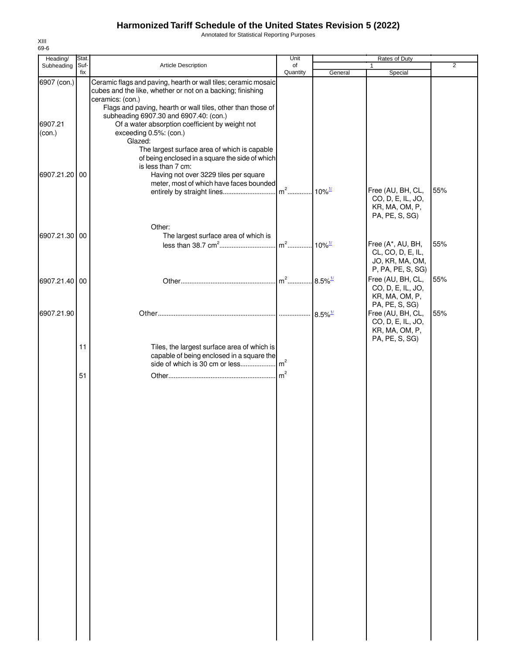Annotated for Statistical Reporting Purposes

| Heading/          | Stat.       |                                                                                                                                                                                                                                                                   | Unit                             |                      | Rates of Duty                                                              |                |
|-------------------|-------------|-------------------------------------------------------------------------------------------------------------------------------------------------------------------------------------------------------------------------------------------------------------------|----------------------------------|----------------------|----------------------------------------------------------------------------|----------------|
| Subheading        | Suf-<br>fix | Article Description                                                                                                                                                                                                                                               | of<br>Quantity                   | General              | Special                                                                    | $\overline{2}$ |
| 6907 (con.)       |             | Ceramic flags and paving, hearth or wall tiles; ceramic mosaic<br>cubes and the like, whether or not on a backing; finishing                                                                                                                                      |                                  |                      |                                                                            |                |
| 6907.21<br>(con.) |             | ceramics: (con.)<br>Flags and paving, hearth or wall tiles, other than those of<br>subheading 6907.30 and 6907.40: (con.)<br>Of a water absorption coefficient by weight not<br>exceeding 0.5%: (con.)<br>Glazed:<br>The largest surface area of which is capable |                                  |                      |                                                                            |                |
| 6907.21.20 00     |             | of being enclosed in a square the side of which<br>is less than 7 cm:<br>Having not over 3229 tiles per square<br>meter, most of which have faces bounded<br>entirely by straight lines                                                                           | m <sup>2</sup> 10% <sup>1/</sup> |                      | Free (AU, BH, CL,                                                          | 55%            |
|                   |             |                                                                                                                                                                                                                                                                   |                                  |                      | CO, D, E, IL, JO,<br>KR, MA, OM, P,<br>PA, PE, S, SG)                      |                |
| 6907.21.30 00     |             | Other:<br>The largest surface area of which is                                                                                                                                                                                                                    |                                  |                      |                                                                            |                |
|                   |             |                                                                                                                                                                                                                                                                   | $m2$                             | $10\%$ <sup>1/</sup> | Free (A*, AU, BH,                                                          | 55%            |
|                   |             |                                                                                                                                                                                                                                                                   |                                  |                      | CL, CO, D, E, IL,<br>JO, KR, MA, OM,<br>P, PA, PE, S, SG)                  |                |
| 6907.21.40 00     |             |                                                                                                                                                                                                                                                                   |                                  |                      | Free (AU, BH, CL,<br>CO, D, E, IL, JO,<br>KR, MA, OM, P,<br>PA, PE, S, SG) | 55%            |
| 6907.21.90        |             |                                                                                                                                                                                                                                                                   |                                  |                      | Free (AU, BH, CL,<br>CO, D, E, IL, JO,<br>KR, MA, OM, P,<br>PA, PE, S, SG) | 55%            |
|                   | 11          | Tiles, the largest surface area of which is<br>capable of being enclosed in a square the                                                                                                                                                                          |                                  |                      |                                                                            |                |
|                   | 51          |                                                                                                                                                                                                                                                                   |                                  |                      |                                                                            |                |
|                   |             |                                                                                                                                                                                                                                                                   |                                  |                      |                                                                            |                |
|                   |             |                                                                                                                                                                                                                                                                   |                                  |                      |                                                                            |                |
|                   |             |                                                                                                                                                                                                                                                                   |                                  |                      |                                                                            |                |
|                   |             |                                                                                                                                                                                                                                                                   |                                  |                      |                                                                            |                |
|                   |             |                                                                                                                                                                                                                                                                   |                                  |                      |                                                                            |                |
|                   |             |                                                                                                                                                                                                                                                                   |                                  |                      |                                                                            |                |
|                   |             |                                                                                                                                                                                                                                                                   |                                  |                      |                                                                            |                |
|                   |             |                                                                                                                                                                                                                                                                   |                                  |                      |                                                                            |                |
|                   |             |                                                                                                                                                                                                                                                                   |                                  |                      |                                                                            |                |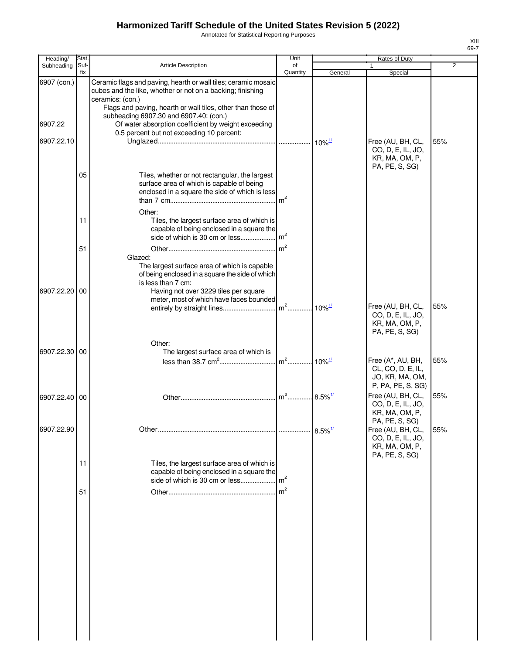Annotated for Statistical Reporting Purposes

| Heading/              | Stat.       |                                                                                                                                                                                                                               | Unit                              |                        | Rates of Duty                                                                  |                |
|-----------------------|-------------|-------------------------------------------------------------------------------------------------------------------------------------------------------------------------------------------------------------------------------|-----------------------------------|------------------------|--------------------------------------------------------------------------------|----------------|
| Subheading            | Suf-<br>fix | Article Description                                                                                                                                                                                                           | of<br>Quantity                    |                        |                                                                                | $\overline{2}$ |
| 6907 (con.)           |             | Ceramic flags and paving, hearth or wall tiles; ceramic mosaic<br>cubes and the like, whether or not on a backing; finishing                                                                                                  |                                   | General                | Special                                                                        |                |
| 6907.22<br>6907.22.10 |             | ceramics: (con.)<br>Flags and paving, hearth or wall tiles, other than those of<br>subheading 6907.30 and 6907.40: (con.)<br>Of water absorption coefficient by weight exceeding<br>0.5 percent but not exceeding 10 percent: |                                   |                        | Free (AU, BH, CL,<br>CO, D, E, IL, JO,                                         | 55%            |
|                       | 05          | Tiles, whether or not rectangular, the largest<br>surface area of which is capable of being<br>enclosed in a square the side of which is less<br>Other:                                                                       | m <sup>2</sup>                    |                        | KR, MA, OM, P,<br>PA, PE, S, SG)                                               |                |
|                       | 11          | Tiles, the largest surface area of which is<br>capable of being enclosed in a square the<br>side of which is 30 cm or less                                                                                                    | m <sup>2</sup><br>$\mathsf{Im}^2$ |                        |                                                                                |                |
| 6907.22.20 00         | 51          | Glazed:<br>The largest surface area of which is capable<br>of being enclosed in a square the side of which<br>is less than 7 cm:<br>Having not over 3229 tiles per square<br>meter, most of which have faces bounded          |                                   |                        |                                                                                |                |
|                       |             | Other:                                                                                                                                                                                                                        |                                   |                        | Free (AU, BH, CL,<br>CO, D, E, IL, JO,<br>KR, MA, OM, P,<br>PA, PE, S, SG)     | 55%            |
| 6907.22.30 00         |             | The largest surface area of which is                                                                                                                                                                                          |                                   |                        | Free (A*, AU, BH,<br>CL, CO, D, E, IL,<br>JO, KR, MA, OM,<br>P, PA, PE, S, SG) | 55%            |
| 6907.22.40 00         |             |                                                                                                                                                                                                                               | $m2$                              | $.8.5\%$ <sup>1/</sup> | Free (AU, BH, CL,<br>CO, D, E, IL, JO,<br>KR, MA, OM, P,                       | 55%            |
| 6907.22.90            |             |                                                                                                                                                                                                                               |                                   |                        | PA, PE, S, SG)<br>Free (AU, BH, CL,<br>CO, D, E, IL, JO,<br>KR, MA, OM, P,     | 55%            |
|                       | 11          | Tiles, the largest surface area of which is<br>capable of being enclosed in a square the<br>side of which is 30 cm or less                                                                                                    | m <sup>2</sup>                    |                        | PA, PE, S, SG)                                                                 |                |
|                       | 51          |                                                                                                                                                                                                                               | $\mathsf{m}^2$                    |                        |                                                                                |                |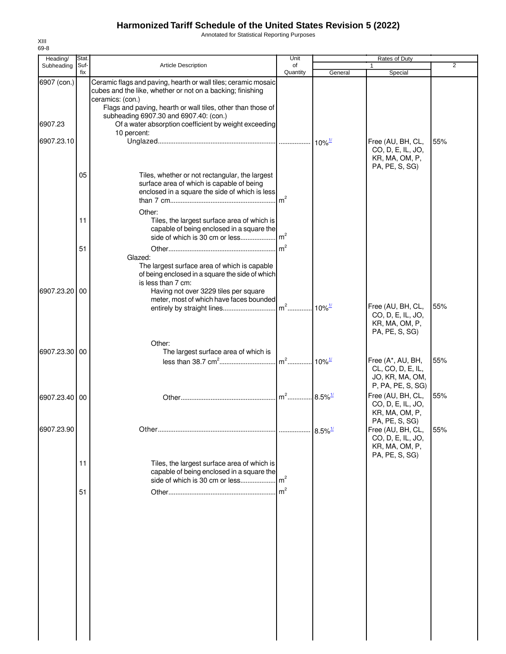Annotated for Statistical Reporting Purposes

| Heading/<br>Subheading | Stat.<br>Suf- | <b>Article Description</b>                                                                                                                                                                                      | Unit<br>of      |                           | Rates of Duty                                                                  | 2   |
|------------------------|---------------|-----------------------------------------------------------------------------------------------------------------------------------------------------------------------------------------------------------------|-----------------|---------------------------|--------------------------------------------------------------------------------|-----|
|                        | fix           |                                                                                                                                                                                                                 | Quantity        | General                   | Special                                                                        |     |
| 6907 (con.)            |               | Ceramic flags and paving, hearth or wall tiles; ceramic mosaic<br>cubes and the like, whether or not on a backing; finishing<br>ceramics: (con.)<br>Flags and paving, hearth or wall tiles, other than those of |                 |                           |                                                                                |     |
| 6907.23                |               | subheading 6907.30 and 6907.40: (con.)<br>Of a water absorption coefficient by weight exceeding<br>10 percent:                                                                                                  |                 |                           |                                                                                |     |
| 6907.23.10             |               |                                                                                                                                                                                                                 |                 | $\cdot$ 10% $\frac{1}{2}$ | Free (AU, BH, CL,                                                              | 55% |
|                        | 05            | Tiles, whether or not rectangular, the largest<br>surface area of which is capable of being<br>enclosed in a square the side of which is less<br>Other:                                                         | m <sup>2</sup>  |                           | CO, D, E, IL, JO,<br>KR, MA, OM, P,<br>PA, PE, S, SG)                          |     |
|                        | 11            | Tiles, the largest surface area of which is                                                                                                                                                                     |                 |                           |                                                                                |     |
|                        |               | capable of being enclosed in a square the                                                                                                                                                                       | $\mathsf{Im}^2$ |                           |                                                                                |     |
|                        | 51            | side of which is 30 cm or less                                                                                                                                                                                  | $\mathsf{Im}^2$ |                           |                                                                                |     |
| 6907.23.20             | 00            | Glazed:<br>The largest surface area of which is capable<br>of being enclosed in a square the side of which<br>is less than 7 cm:<br>Having not over 3229 tiles per square                                       |                 |                           |                                                                                |     |
|                        |               | meter, most of which have faces bounded                                                                                                                                                                         |                 |                           | Free (AU, BH, CL,<br>CO, D, E, IL, JO,<br>KR, MA, OM, P,<br>PA, PE, S, SG)     | 55% |
|                        |               | Other:                                                                                                                                                                                                          |                 |                           |                                                                                |     |
| 6907.23.30 00          |               | The largest surface area of which is                                                                                                                                                                            |                 |                           | Free (A*, AU, BH,<br>CL, CO, D, E, IL,<br>JO, KR, MA, OM,<br>P, PA, PE, S, SG) | 55% |
| 6907.23.40 00          |               |                                                                                                                                                                                                                 | $m2$            | $8.5\%$ <sup>1/</sup>     | Free (AU, BH, CL,<br>CO, D, E, IL, JO,<br>KR, MA, OM, P,<br>PA, PE, S, SG)     | 55% |
| 6907.23.90             |               |                                                                                                                                                                                                                 |                 | $8.5\%$ <sup>1/</sup>     | Free (AU, BH, CL,<br>CO, D, E, IL, JO,<br>KR, MA, OM, P,<br>PA, PE, S, SG)     | 55% |
|                        | 11            | Tiles, the largest surface area of which is<br>capable of being enclosed in a square the<br>side of which is 30 cm or less                                                                                      | $\mathsf{Im}^2$ |                           |                                                                                |     |
|                        | 51            |                                                                                                                                                                                                                 | m <sup>2</sup>  |                           |                                                                                |     |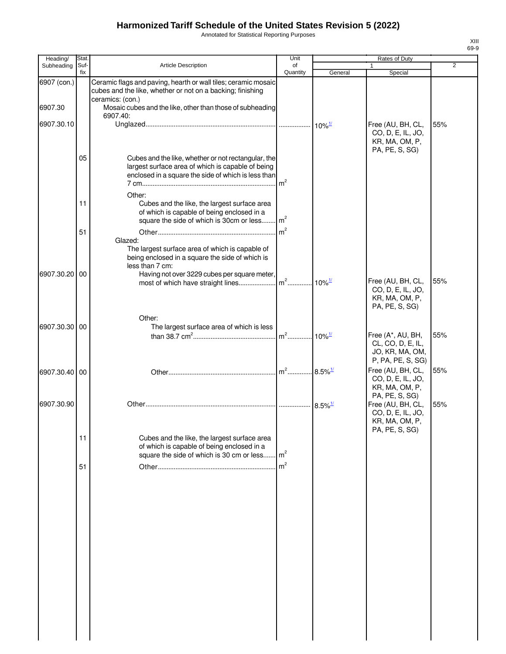Annotated for Statistical Reporting Purposes

| Heading/      | Stat.       |                                                                                                                                                                 | Unit           |                       | Rates of Duty                                                                  |     |
|---------------|-------------|-----------------------------------------------------------------------------------------------------------------------------------------------------------------|----------------|-----------------------|--------------------------------------------------------------------------------|-----|
| Subheading    | Suf-<br>fix | Article Description                                                                                                                                             | of<br>Quantity | General               | 1<br>Special                                                                   | 2   |
| 6907 (con.)   |             | Ceramic flags and paving, hearth or wall tiles; ceramic mosaic<br>cubes and the like, whether or not on a backing; finishing<br>ceramics: (con.)                |                |                       |                                                                                |     |
| 6907.30       |             | Mosaic cubes and the like, other than those of subheading<br>6907.40:                                                                                           |                |                       |                                                                                |     |
| 6907.30.10    |             |                                                                                                                                                                 |                |                       | Free (AU, BH, CL,<br>CO, D, E, IL, JO,<br>KR, MA, OM, P,                       | 55% |
|               | 05          | Cubes and the like, whether or not rectangular, the<br>largest surface area of which is capable of being<br>enclosed in a square the side of which is less than | m <sup>2</sup> |                       | PA, PE, S, SG)                                                                 |     |
|               | 11          | Other:<br>Cubes and the like, the largest surface area<br>of which is capable of being enclosed in a<br>square the side of which is 30cm or less m <sup>2</sup> |                |                       |                                                                                |     |
|               | 51          | Glazed:<br>The largest surface area of which is capable of<br>being enclosed in a square the side of which is<br>less than 7 cm:                                | m <sup>2</sup> |                       |                                                                                |     |
| 6907.30.20    | 00          | Having not over 3229 cubes per square meter,                                                                                                                    |                |                       | Free (AU, BH, CL,<br>CO, D, E, IL, JO,<br>KR, MA, OM, P,<br>PA, PE, S, SG)     | 55% |
| 6907.30.30 00 |             | Other:<br>The largest surface area of which is less                                                                                                             |                |                       |                                                                                |     |
|               |             |                                                                                                                                                                 |                |                       | Free (A*, AU, BH,<br>CL, CO, D, E, IL,<br>JO, KR, MA, OM,<br>P, PA, PE, S, SG) | 55% |
| 6907.30.40    | 00          |                                                                                                                                                                 |                |                       | Free (AU, BH, CL,<br>CO, D, E, IL, JO,<br>KR, MA, OM, P,<br>PA, PE, S, SG)     | 55% |
| 6907.30.90    |             |                                                                                                                                                                 |                | $8.5\%$ <sup>1/</sup> | Free (AU, BH, CL,<br>CO, D, E, IL, JO,<br>KR, MA, OM, P<br>PA, PE, S, SG)      | 55% |
|               | 11          | Cubes and the like, the largest surface area<br>of which is capable of being enclosed in a<br>square the side of which is 30 cm or less                         | m <sup>2</sup> |                       |                                                                                |     |
|               | 51          |                                                                                                                                                                 | m <sup>2</sup> |                       |                                                                                |     |
|               |             |                                                                                                                                                                 |                |                       |                                                                                |     |
|               |             |                                                                                                                                                                 |                |                       |                                                                                |     |
|               |             |                                                                                                                                                                 |                |                       |                                                                                |     |
|               |             |                                                                                                                                                                 |                |                       |                                                                                |     |
|               |             |                                                                                                                                                                 |                |                       |                                                                                |     |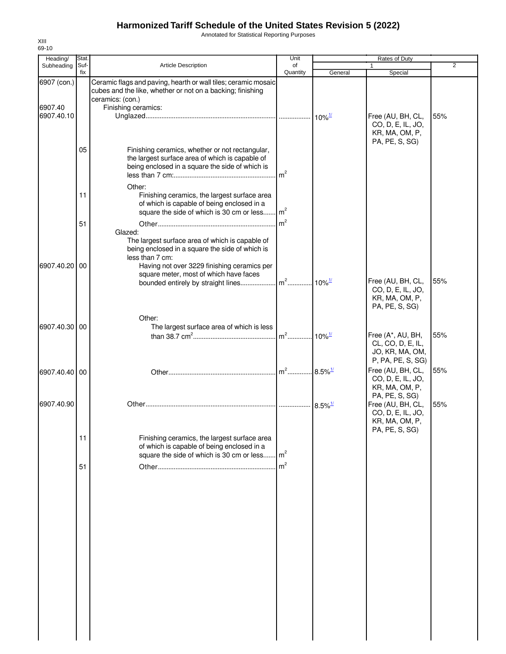Annotated for Statistical Reporting Purposes

| Heading/              | Stat.       |                                                                                                                                                             | Unit           |                                            | Rates of Duty                                                                               |                |
|-----------------------|-------------|-------------------------------------------------------------------------------------------------------------------------------------------------------------|----------------|--------------------------------------------|---------------------------------------------------------------------------------------------|----------------|
| Subheading            | Suf-<br>fix | Article Description                                                                                                                                         | of<br>Quantity | General                                    | $\mathbf{1}$<br>Special                                                                     | $\overline{2}$ |
| 6907 (con.)           |             | Ceramic flags and paving, hearth or wall tiles; ceramic mosaic<br>cubes and the like, whether or not on a backing; finishing<br>ceramics: (con.)            |                |                                            |                                                                                             |                |
| 6907.40<br>6907.40.10 |             | Finishing ceramics:                                                                                                                                         |                | $10\%$ <sup>1/</sup>                       | Free (AU, BH, CL,<br>CO, D, E, IL, JO,<br>KR, MA, OM, P,                                    | 55%            |
|                       | 05          | Finishing ceramics, whether or not rectangular,<br>the largest surface area of which is capable of<br>being enclosed in a square the side of which is       | m <sup>2</sup> |                                            | PA, PE, S, SG)                                                                              |                |
|                       | 11          | Other:<br>Finishing ceramics, the largest surface area<br>of which is capable of being enclosed in a<br>square the side of which is 30 cm or less           | m <sup>2</sup> |                                            |                                                                                             |                |
|                       | 51          | Glazed:<br>The largest surface area of which is capable of                                                                                                  | $\rm{m}^2$     |                                            |                                                                                             |                |
| 6907.40.20            | 00          | being enclosed in a square the side of which is<br>less than 7 cm:<br>Having not over 3229 finishing ceramics per<br>square meter, most of which have faces |                |                                            |                                                                                             |                |
|                       |             | bounded entirely by straight lines                                                                                                                          | $m2$           | $10\%$ <sup><math>\frac{1}{2}</math></sup> | Free (AU, BH, CL,<br>CO, D, E, IL, JO,<br>KR, MA, OM, P,<br>PA, PE, S, SG)                  | 55%            |
| 6907.40.30 00         |             | Other:<br>The largest surface area of which is less                                                                                                         |                | $10\%$ <sup>1/</sup>                       | Free (A*, AU, BH,<br>CL, CO, D, E, IL,                                                      | 55%            |
| 6907.40.40 00         |             |                                                                                                                                                             | $m2$           | $8.5\%$ <sup>1/</sup>                      | JO, KR, MA, OM,<br>P, PA, PE, S, SG)<br>Free (AU, BH, CL,<br>CO, D, E, IL, JO,              | 55%            |
| 6907.40.90            |             |                                                                                                                                                             |                | $8.5\%$ <sup>1/</sup>                      | KR, MA, OM, P,<br>PA, PE, S, SG)<br>Free (AU, BH, CL,<br>CO, D, E, IL, JO,<br>KR, MA, OM, P | 55%            |
|                       | 11          | Finishing ceramics, the largest surface area<br>of which is capable of being enclosed in a<br>square the side of which is 30 cm or less                     | m <sup>2</sup> |                                            | PA, PE, S, SG)                                                                              |                |
|                       | 51          |                                                                                                                                                             | $\mathsf{m}^2$ |                                            |                                                                                             |                |
|                       |             |                                                                                                                                                             |                |                                            |                                                                                             |                |
|                       |             |                                                                                                                                                             |                |                                            |                                                                                             |                |
|                       |             |                                                                                                                                                             |                |                                            |                                                                                             |                |
|                       |             |                                                                                                                                                             |                |                                            |                                                                                             |                |
|                       |             |                                                                                                                                                             |                |                                            |                                                                                             |                |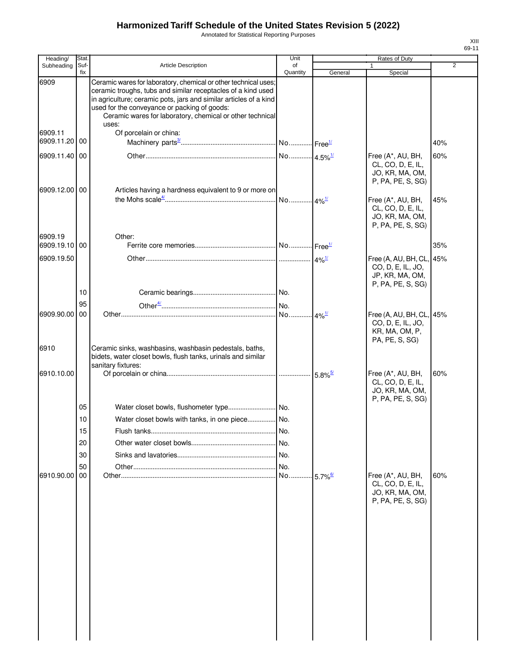6909

6909.1<br>6909.1

6909.

6909.1<br>6909.1

6910

Annotated for Statistical Reporting Purposes

| Heading/                 | Stat.       |                                                                                                                                                                                                                                                                                                                            | Unit                |                       | Rates of Duty                                                                         |                |
|--------------------------|-------------|----------------------------------------------------------------------------------------------------------------------------------------------------------------------------------------------------------------------------------------------------------------------------------------------------------------------------|---------------------|-----------------------|---------------------------------------------------------------------------------------|----------------|
| Subheading               | Suf-<br>fix | Article Description                                                                                                                                                                                                                                                                                                        | of<br>Quantity      | General               | $\mathbf{1}$<br>Special                                                               | $\overline{2}$ |
| 6909                     |             | Ceramic wares for laboratory, chemical or other technical uses;<br>ceramic troughs, tubs and similar receptacles of a kind used<br>in agriculture; ceramic pots, jars and similar articles of a kind<br>used for the conveyance or packing of goods:<br>Ceramic wares for laboratory, chemical or other technical<br>uses: |                     |                       |                                                                                       |                |
| 6909.11<br>6909.11.20    | 00          | Of porcelain or china:                                                                                                                                                                                                                                                                                                     |                     |                       |                                                                                       | 40%            |
| 6909.11.40               | 00          |                                                                                                                                                                                                                                                                                                                            |                     |                       | Free (A*, AU, BH,<br>CL, CO, D, E, IL,<br>JO, KR, MA, OM,<br>P, PA, PE, S, SG)        | 60%            |
| 6909.12.00 00            |             | Articles having a hardness equivalent to 9 or more on                                                                                                                                                                                                                                                                      | No 4% <sup>1/</sup> |                       | Free (A*, AU, BH,<br>CL, CO, D, E, IL,<br>JO, KR, MA, OM,<br>P, PA, PE, S, SG)        | 45%            |
| 6909.19<br>6909.19.10 00 |             | Other:                                                                                                                                                                                                                                                                                                                     |                     |                       |                                                                                       | 35%            |
| 6909.19.50               |             |                                                                                                                                                                                                                                                                                                                            |                     | $4\%$ <sup>1/</sup>   | Free (A, AU, BH, CL, 45%<br>CO, D, E, IL, JO,<br>JP, KR, MA, OM,<br>P, PA, PE, S, SG) |                |
|                          | 10          |                                                                                                                                                                                                                                                                                                                            |                     |                       |                                                                                       |                |
| 6909.90.00               | 95<br>00    |                                                                                                                                                                                                                                                                                                                            |                     |                       | Free (A, AU, BH, CL, 45%<br>CO, D, E, IL, JO,<br>KR, MA, OM, P,                       |                |
| 6910                     |             | Ceramic sinks, washbasins, washbasin pedestals, baths,<br>bidets, water closet bowls, flush tanks, urinals and similar<br>sanitary fixtures:                                                                                                                                                                               |                     |                       | PA, PE, S, SG)                                                                        |                |
| 6910.10.00               |             |                                                                                                                                                                                                                                                                                                                            |                     |                       | Free (A*, AU, BH,<br>CL, CO, D, E, IL,<br>JO, KR, MA, OM,                             | 60%            |
|                          | 05          |                                                                                                                                                                                                                                                                                                                            |                     |                       | P, PA, PE, S, SG)                                                                     |                |
|                          | 10          | Water closet bowls with tanks, in one piece No.                                                                                                                                                                                                                                                                            |                     |                       |                                                                                       |                |
|                          | 15          |                                                                                                                                                                                                                                                                                                                            | INo.                |                       |                                                                                       |                |
|                          | 20          |                                                                                                                                                                                                                                                                                                                            |                     |                       |                                                                                       |                |
|                          | 30          |                                                                                                                                                                                                                                                                                                                            |                     |                       |                                                                                       |                |
|                          | 50          |                                                                                                                                                                                                                                                                                                                            | No.                 |                       |                                                                                       |                |
| 6910.90.00               | 00          | Other…………………………………………………………………………                                                                                                                                                                                                                                                                                          | No.                 | $5.7\%$ <sup>6/</sup> | Free (A*, AU, BH,<br>CL, CO, D, E, IL,<br>JO, KR, MA, OM,<br>P, PA, PE, S, SG)        | 60%            |
|                          |             |                                                                                                                                                                                                                                                                                                                            |                     |                       |                                                                                       |                |
|                          |             |                                                                                                                                                                                                                                                                                                                            |                     |                       |                                                                                       |                |
|                          |             |                                                                                                                                                                                                                                                                                                                            |                     |                       |                                                                                       |                |
|                          |             |                                                                                                                                                                                                                                                                                                                            |                     |                       |                                                                                       |                |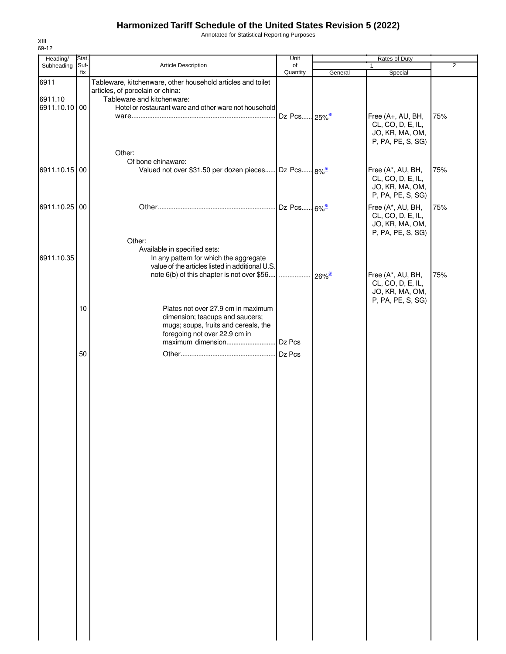Annotated for Statistical Reporting Purposes

| Heading/        | Stat.           |                                                                                                                                                                     | Unit                     |         | Rates of Duty                                                                  |     |
|-----------------|-----------------|---------------------------------------------------------------------------------------------------------------------------------------------------------------------|--------------------------|---------|--------------------------------------------------------------------------------|-----|
| Subheading      | Suf-<br>fix     | Article Description                                                                                                                                                 | of<br>Quantity           | General | $\mathbf{1}$<br>Special                                                        | 2   |
| 6911<br>6911.10 |                 | Tableware, kitchenware, other household articles and toilet<br>articles, of porcelain or china:<br>Tableware and kitchenware:                                       |                          |         |                                                                                |     |
| 6911.10.10 00   |                 | Hotel or restaurant ware and other ware not household<br>Other:                                                                                                     | Dz Pcs 25% <sup>6/</sup> |         | Free (A+, AU, BH,<br>CL, CO, D, E, IL,<br>JO, KR, MA, OM,<br>P, PA, PE, S, SG) | 75% |
| 6911.10.15 00   |                 | Of bone chinaware:<br>Valued not over \$31.50 per dozen pieces Dz Pcs 8% <sup>5/</sup>                                                                              |                          |         | Free (A*, AU, BH,<br>CL, CO, D, E, IL,<br>JO, KR, MA, OM,<br>P, PA, PE, S, SG) | 75% |
| 6911.10.25 00   |                 |                                                                                                                                                                     |                          |         | Free (A*, AU, BH,<br>CL, CO, D, E, IL,<br>JO, KR, MA, OM,<br>P, PA, PE, S, SG) | 75% |
| 6911.10.35      |                 | Other:<br>Available in specified sets:<br>In any pattern for which the aggregate<br>value of the articles listed in additional U.S.                                 |                          |         | Free (A*, AU, BH,<br>CL, CO, D, E, IL,<br>JO, KR, MA, OM,<br>P, PA, PE, S, SG) | 75% |
|                 | 10 <sup>°</sup> | Plates not over 27.9 cm in maximum<br>dimension; teacups and saucers;<br>mugs; soups, fruits and cereals, the<br>foregoing not over 22.9 cm in<br>maximum dimension | Dz Pcs                   |         |                                                                                |     |
|                 | 50              |                                                                                                                                                                     |                          |         |                                                                                |     |
|                 |                 |                                                                                                                                                                     |                          |         |                                                                                |     |
|                 |                 |                                                                                                                                                                     |                          |         |                                                                                |     |
|                 |                 |                                                                                                                                                                     |                          |         |                                                                                |     |
|                 |                 |                                                                                                                                                                     |                          |         |                                                                                |     |
|                 |                 |                                                                                                                                                                     |                          |         |                                                                                |     |
|                 |                 |                                                                                                                                                                     |                          |         |                                                                                |     |
|                 |                 |                                                                                                                                                                     |                          |         |                                                                                |     |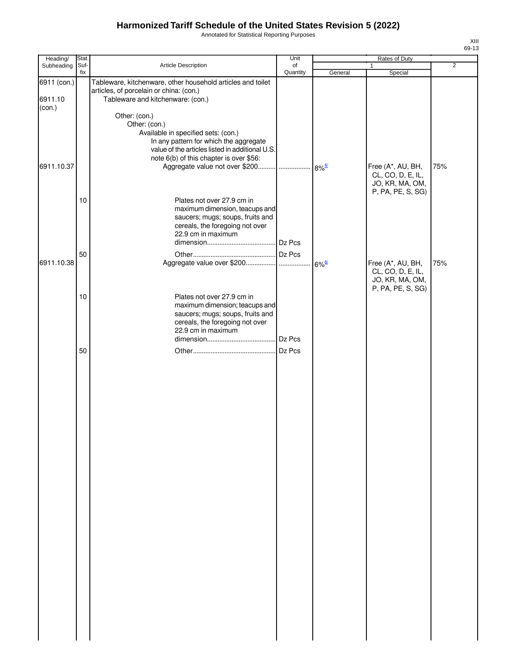Annotated for Statistical Reporting Purposes

| Heading/    | Stat. |                                                             | Unit     |                     | Rates of Duty     |                |
|-------------|-------|-------------------------------------------------------------|----------|---------------------|-------------------|----------------|
| Subheading  | Suf-  | Article Description                                         | of       |                     | $\mathbf{1}$      | $\overline{2}$ |
|             | fix   |                                                             | Quantity | General             | Special           |                |
| 6911 (con.) |       | Tableware, kitchenware, other household articles and toilet |          |                     |                   |                |
|             |       | articles, of porcelain or china: (con.)                     |          |                     |                   |                |
| 6911.10     |       | Tableware and kitchenware: (con.)                           |          |                     |                   |                |
| (con.)      |       |                                                             |          |                     |                   |                |
|             |       | Other: (con.)                                               |          |                     |                   |                |
|             |       | Other: (con.)                                               |          |                     |                   |                |
|             |       | Available in specified sets: (con.)                         |          |                     |                   |                |
|             |       | In any pattern for which the aggregate                      |          |                     |                   |                |
|             |       | value of the articles listed in additional U.S.             |          |                     |                   |                |
|             |       | note 6(b) of this chapter is over \$56:                     |          |                     |                   |                |
| 6911.10.37  |       |                                                             |          |                     | Free (A*, AU, BH, | 75%            |
|             |       |                                                             |          |                     | CL, CO, D, E, IL, |                |
|             |       |                                                             |          |                     | JO, KR, MA, OM,   |                |
|             |       |                                                             |          |                     | P, PA, PE, S, SG) |                |
|             | 10    | Plates not over 27.9 cm in                                  |          |                     |                   |                |
|             |       | maximum dimension, teacups and                              |          |                     |                   |                |
|             |       | saucers; mugs; soups, fruits and                            |          |                     |                   |                |
|             |       | cereals, the foregoing not over                             |          |                     |                   |                |
|             |       | 22.9 cm in maximum                                          |          |                     |                   |                |
|             |       |                                                             |          |                     |                   |                |
|             | 50    |                                                             |          |                     |                   |                |
| 6911.10.38  |       |                                                             |          | $6\%$ <sup>6/</sup> | Free (A*, AU, BH, | 75%            |
|             |       |                                                             |          |                     | CL, CO, D, E, IL, |                |
|             |       |                                                             |          |                     | JO, KR, MA, OM,   |                |
|             |       |                                                             |          |                     | P, PA, PE, S, SG) |                |
|             | 10    | Plates not over 27.9 cm in                                  |          |                     |                   |                |
|             |       | maximum dimension; teacups and                              |          |                     |                   |                |
|             |       | saucers; mugs; soups, fruits and                            |          |                     |                   |                |
|             |       | cereals, the foregoing not over                             |          |                     |                   |                |
|             |       | 22.9 cm in maximum                                          |          |                     |                   |                |
|             |       |                                                             | Dz Pcs   |                     |                   |                |
|             | 50    |                                                             | Dz Pcs   |                     |                   |                |
|             |       |                                                             |          |                     |                   |                |
|             |       |                                                             |          |                     |                   |                |
|             |       |                                                             |          |                     |                   |                |
|             |       |                                                             |          |                     |                   |                |
|             |       |                                                             |          |                     |                   |                |
|             |       |                                                             |          |                     |                   |                |
|             |       |                                                             |          |                     |                   |                |
|             |       |                                                             |          |                     |                   |                |
|             |       |                                                             |          |                     |                   |                |
|             |       |                                                             |          |                     |                   |                |
|             |       |                                                             |          |                     |                   |                |
|             |       |                                                             |          |                     |                   |                |
|             |       |                                                             |          |                     |                   |                |
|             |       |                                                             |          |                     |                   |                |
|             |       |                                                             |          |                     |                   |                |
|             |       |                                                             |          |                     |                   |                |
|             |       |                                                             |          |                     |                   |                |
|             |       |                                                             |          |                     |                   |                |
|             |       |                                                             |          |                     |                   |                |
|             |       |                                                             |          |                     |                   |                |
|             |       |                                                             |          |                     |                   |                |
|             |       |                                                             |          |                     |                   |                |
|             |       |                                                             |          |                     |                   |                |
|             |       |                                                             |          |                     |                   |                |
|             |       |                                                             |          |                     |                   |                |
|             |       |                                                             |          |                     |                   |                |
|             |       |                                                             |          |                     |                   |                |
|             |       |                                                             |          |                     |                   |                |
|             |       |                                                             |          |                     |                   |                |
|             |       |                                                             |          |                     |                   |                |
|             |       |                                                             |          |                     |                   |                |
|             |       |                                                             |          |                     |                   |                |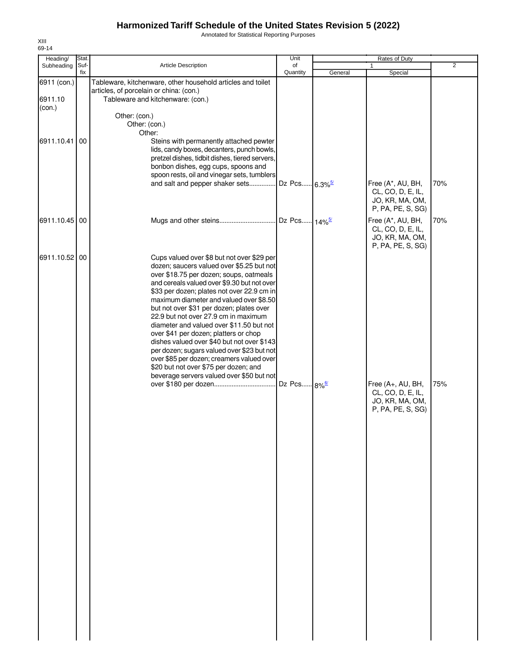Annotated for Statistical Reporting Purposes

| Heading/                         | Stat.       |                                                                                                                                                                                                                                                                                                                                                                                                                                                                                                                                                                                                                                                                                    | Unit                      |         | Rates of Duty                                                                  |                |
|----------------------------------|-------------|------------------------------------------------------------------------------------------------------------------------------------------------------------------------------------------------------------------------------------------------------------------------------------------------------------------------------------------------------------------------------------------------------------------------------------------------------------------------------------------------------------------------------------------------------------------------------------------------------------------------------------------------------------------------------------|---------------------------|---------|--------------------------------------------------------------------------------|----------------|
| Subheading                       | Suf-<br>fix | Article Description                                                                                                                                                                                                                                                                                                                                                                                                                                                                                                                                                                                                                                                                | of<br>Quantity            | General | Special                                                                        | $\overline{2}$ |
| 6911 (con.)<br>6911.10<br>(con.) |             | Tableware, kitchenware, other household articles and toilet<br>articles, of porcelain or china: (con.)<br>Tableware and kitchenware: (con.)                                                                                                                                                                                                                                                                                                                                                                                                                                                                                                                                        |                           |         |                                                                                |                |
| 6911.10.41                       | 00          | Other: (con.)<br>Other: (con.)<br>Other:<br>Steins with permanently attached pewter                                                                                                                                                                                                                                                                                                                                                                                                                                                                                                                                                                                                |                           |         |                                                                                |                |
|                                  |             | lids, candy boxes, decanters, punch bowls,<br>pretzel dishes, tidbit dishes, tiered servers,<br>bonbon dishes, egg cups, spoons and<br>spoon rests, oil and vinegar sets, tumblers<br>and salt and pepper shaker sets                                                                                                                                                                                                                                                                                                                                                                                                                                                              | Dz Pcs 6.3% <sup>5/</sup> |         | Free (A*, AU, BH,                                                              | 70%            |
|                                  |             |                                                                                                                                                                                                                                                                                                                                                                                                                                                                                                                                                                                                                                                                                    |                           |         | CL, CO, D, E, IL,<br>JO, KR, MA, OM,<br>P, PA, PE, S, SG)                      |                |
| 6911.10.45 00                    |             |                                                                                                                                                                                                                                                                                                                                                                                                                                                                                                                                                                                                                                                                                    |                           |         | Free (A*, AU, BH,<br>CL, CO, D, E, IL,<br>JO, KR, MA, OM,<br>P, PA, PE, S, SG) | 70%            |
| 6911.10.52 00                    |             | Cups valued over \$8 but not over \$29 per<br>dozen; saucers valued over \$5.25 but not<br>over \$18.75 per dozen; soups, oatmeals<br>and cereals valued over \$9.30 but not over<br>\$33 per dozen; plates not over 22.9 cm in<br>maximum diameter and valued over \$8.50<br>but not over \$31 per dozen; plates over<br>22.9 but not over 27.9 cm in maximum<br>diameter and valued over \$11.50 but not<br>over \$41 per dozen; platters or chop<br>dishes valued over \$40 but not over \$143<br>per dozen; sugars valued over \$23 but not<br>over \$85 per dozen; creamers valued over<br>\$20 but not over \$75 per dozen; and<br>beverage servers valued over \$50 but not |                           |         |                                                                                |                |
|                                  |             | over \$180 per dozen                                                                                                                                                                                                                                                                                                                                                                                                                                                                                                                                                                                                                                                               | Dz Pcs 8% <sup>6/</sup>   |         | Free (A+, AU, BH,<br>CL, CO, D, E, IL,<br>JO, KR, MA, OM,<br>P, PA, PE, S, SG) | 75%            |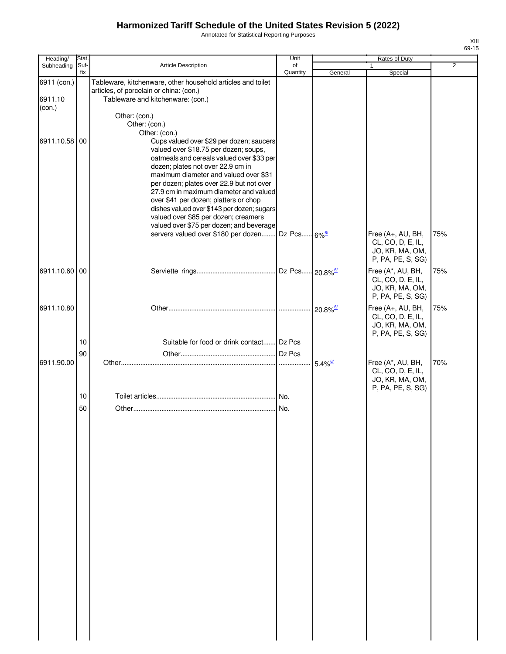Annotated for Statistical Reporting Purposes

| Heading/                         | Stat.    |                                                                                                                                                                                                                                                                                                                                                                                                                                           | Unit     |                        | Rates of Duty                                                                                       |                |
|----------------------------------|----------|-------------------------------------------------------------------------------------------------------------------------------------------------------------------------------------------------------------------------------------------------------------------------------------------------------------------------------------------------------------------------------------------------------------------------------------------|----------|------------------------|-----------------------------------------------------------------------------------------------------|----------------|
| Subheading                       | Suf-     | <b>Article Description</b>                                                                                                                                                                                                                                                                                                                                                                                                                | of       |                        | 1                                                                                                   | $\overline{2}$ |
|                                  | fix      |                                                                                                                                                                                                                                                                                                                                                                                                                                           | Quantity | General                | Special                                                                                             |                |
| 6911 (con.)<br>6911.10<br>(con.) |          | Tableware, kitchenware, other household articles and toilet<br>articles, of porcelain or china: (con.)<br>Tableware and kitchenware: (con.)                                                                                                                                                                                                                                                                                               |          |                        |                                                                                                     |                |
| 6911.10.58 00                    |          | Other: (con.)<br>Other: (con.)<br>Other: (con.)<br>Cups valued over \$29 per dozen; saucers<br>valued over \$18.75 per dozen; soups,                                                                                                                                                                                                                                                                                                      |          |                        |                                                                                                     |                |
|                                  |          | oatmeals and cereals valued over \$33 per<br>dozen; plates not over 22.9 cm in<br>maximum diameter and valued over \$31<br>per dozen; plates over 22.9 but not over<br>27.9 cm in maximum diameter and valued<br>over \$41 per dozen; platters or chop<br>dishes valued over \$143 per dozen; sugars<br>valued over \$85 per dozen; creamers<br>valued over \$75 per dozen; and beverage<br>servers valued over \$180 per dozen Dz Pcs 6% |          |                        | Free (A+, AU, BH,<br>CL, CO, D, E, IL,<br>JO, KR, MA, OM,                                           | 75%            |
| 6911.10.60 00                    |          |                                                                                                                                                                                                                                                                                                                                                                                                                                           |          |                        | P, PA, PE, S, SG)<br>Free (A*, AU, BH,<br>CL, CO, D, E, IL,<br>JO, KR, MA, OM,<br>P, PA, PE, S, SG) | 75%            |
| 6911.10.80                       |          |                                                                                                                                                                                                                                                                                                                                                                                                                                           |          | $20.8\%$ <sup>6/</sup> | Free (A+, AU, BH,<br>CL, CO, D, E, IL,<br>JO, KR, MA, OM,<br>P, PA, PE, S, SG)                      | 75%            |
|                                  | 10       | Suitable for food or drink contact Dz Pcs                                                                                                                                                                                                                                                                                                                                                                                                 |          |                        |                                                                                                     |                |
|                                  | 90       |                                                                                                                                                                                                                                                                                                                                                                                                                                           |          |                        |                                                                                                     |                |
| 6911.90.00                       |          |                                                                                                                                                                                                                                                                                                                                                                                                                                           |          | $5.4\%$ <sup>6/</sup>  | Free (A*, AU, BH,<br>CL, CO, D, E, IL,<br>JO, KR, MA, OM,<br>P, PA, PE, S, SG)                      | 70%            |
|                                  | 10<br>50 |                                                                                                                                                                                                                                                                                                                                                                                                                                           | No.      |                        |                                                                                                     |                |
|                                  |          |                                                                                                                                                                                                                                                                                                                                                                                                                                           |          |                        |                                                                                                     |                |
|                                  |          |                                                                                                                                                                                                                                                                                                                                                                                                                                           |          |                        |                                                                                                     |                |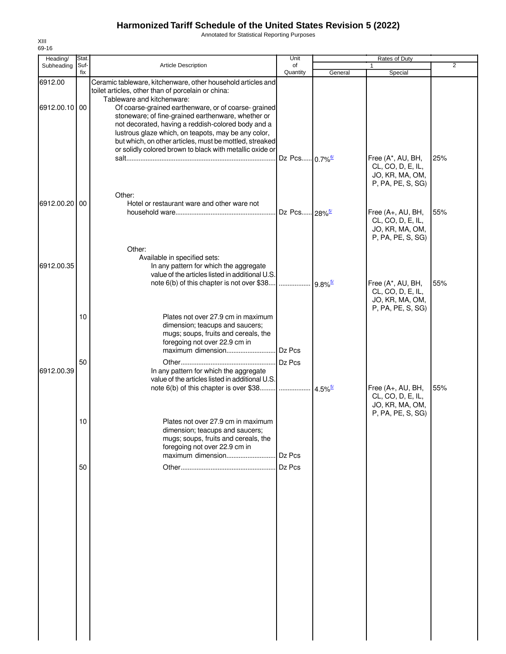Annotated for Statistical Reporting Purposes

| Heading/      | Stat. |                                                                                                                                                                                                                                                                                                                                                                             | Unit                      |                       |                                                                                |                |
|---------------|-------|-----------------------------------------------------------------------------------------------------------------------------------------------------------------------------------------------------------------------------------------------------------------------------------------------------------------------------------------------------------------------------|---------------------------|-----------------------|--------------------------------------------------------------------------------|----------------|
| Subheading    | Suf-  | Article Description                                                                                                                                                                                                                                                                                                                                                         | of                        |                       |                                                                                | $\overline{2}$ |
| 6912.00       | fix   | Ceramic tableware, kitchenware, other household articles and<br>toilet articles, other than of porcelain or china:                                                                                                                                                                                                                                                          | Quantity                  | General               | Special                                                                        |                |
| 6912.00.10 00 |       | Tableware and kitchenware:<br>Of coarse-grained earthenware, or of coarse-grained<br>stoneware; of fine-grained earthenware, whether or<br>not decorated, having a reddish-colored body and a<br>lustrous glaze which, on teapots, may be any color,<br>but which, on other articles, must be mottled, streaked<br>or solidly colored brown to black with metallic oxide or |                           |                       |                                                                                |                |
|               |       |                                                                                                                                                                                                                                                                                                                                                                             | Dz Pcs 0.7% <sup>6/</sup> |                       | Free (A*, AU, BH,<br>CL, CO, D, E, IL,<br>JO, KR, MA, OM,<br>P, PA, PE, S, SG) | 25%            |
| 6912.00.20 00 |       | Other:<br>Hotel or restaurant ware and other ware not                                                                                                                                                                                                                                                                                                                       | Dz Pcs 28% <sup>5/</sup>  |                       | Free (A+, AU, BH,<br>CL, CO, D, E, IL,<br>JO, KR, MA, OM,                      | 55%            |
| 6912.00.35    |       | Other:<br>Available in specified sets:<br>In any pattern for which the aggregate                                                                                                                                                                                                                                                                                            |                           |                       | P, PA, PE, S, SG)                                                              |                |
|               |       | value of the articles listed in additional U.S.<br>note 6(b) of this chapter is not over \$38                                                                                                                                                                                                                                                                               | .                         | $9.8\%$ <sup>5/</sup> | Free (A*, AU, BH,<br>CL, CO, D, E, IL,<br>JO, KR, MA, OM,<br>P, PA, PE, S, SG) | 55%            |
|               | 10    | Plates not over 27.9 cm in maximum<br>dimension; teacups and saucers;<br>mugs; soups, fruits and cereals, the<br>foregoing not over 22.9 cm in                                                                                                                                                                                                                              | Dz Pcs                    |                       |                                                                                |                |
| 6912.00.39    | 50    | In any pattern for which the aggregate<br>value of the articles listed in additional U.S.<br>note 6(b) of this chapter is over \$38                                                                                                                                                                                                                                         | Dz Pcs<br>.               | $4.5\%$               | Free (A+, AU, BH,<br>CL, CO, D, E, IL,                                         | 55%            |
|               | 10    | Plates not over 27.9 cm in maximum<br>dimension; teacups and saucers;<br>mugs; soups, fruits and cereals, the<br>foregoing not over 22.9 cm in                                                                                                                                                                                                                              | Dz Pcs                    |                       | JO, KR, MA, OM,<br>P, PA, PE, S, SG)                                           |                |
|               | 50    |                                                                                                                                                                                                                                                                                                                                                                             | Dz Pcs                    |                       |                                                                                |                |
|               |       |                                                                                                                                                                                                                                                                                                                                                                             |                           |                       |                                                                                |                |
|               |       |                                                                                                                                                                                                                                                                                                                                                                             |                           |                       |                                                                                |                |
|               |       |                                                                                                                                                                                                                                                                                                                                                                             |                           |                       |                                                                                |                |
|               |       |                                                                                                                                                                                                                                                                                                                                                                             |                           |                       |                                                                                |                |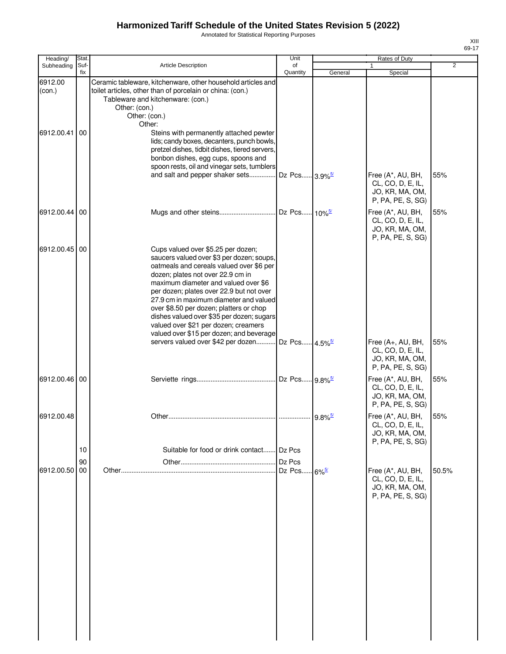Annotated for Statistical Reporting Purposes

| Heading/          | Stat.       |                                                                                                                                                                                                                                                                                                                                                                                                                                                                            | Unit                              |         | Rates of Duty                                                                                       |       |  |
|-------------------|-------------|----------------------------------------------------------------------------------------------------------------------------------------------------------------------------------------------------------------------------------------------------------------------------------------------------------------------------------------------------------------------------------------------------------------------------------------------------------------------------|-----------------------------------|---------|-----------------------------------------------------------------------------------------------------|-------|--|
| Subheading        | Suf-<br>fix | Article Description                                                                                                                                                                                                                                                                                                                                                                                                                                                        | of<br>Quantity                    | General | $\mathbf{1}$<br>Special                                                                             | 2     |  |
| 6912.00<br>(con.) |             | Ceramic tableware, kitchenware, other household articles and<br>toilet articles, other than of porcelain or china: (con.)<br>Tableware and kitchenware: (con.)<br>Other: (con.)<br>Other: (con.)<br>Other:                                                                                                                                                                                                                                                                 |                                   |         |                                                                                                     |       |  |
| 6912.00.41 00     |             | Steins with permanently attached pewter<br>lids; candy boxes, decanters, punch bowls,<br>pretzel dishes, tidbit dishes, tiered servers,<br>bonbon dishes, egg cups, spoons and<br>spoon rests, oil and vinegar sets, tumblers<br>and salt and pepper shaker sets Dz Pcs 3.9% <sup>5/</sup>                                                                                                                                                                                 |                                   |         | Free (A*, AU, BH,<br>CL, CO, D, E, IL,<br>JO, KR, MA, OM,                                           | 55%   |  |
| 6912.00.44 00     |             |                                                                                                                                                                                                                                                                                                                                                                                                                                                                            |                                   |         | P, PA, PE, S, SG)<br>Free (A*, AU, BH,<br>CL, CO, D, E, IL,<br>JO, KR, MA, OM,<br>P, PA, PE, S, SG) | 55%   |  |
| 6912.00.45 00     |             | Cups valued over \$5.25 per dozen;<br>saucers valued over \$3 per dozen; soups,<br>oatmeals and cereals valued over \$6 per<br>dozen; plates not over 22.9 cm in<br>maximum diameter and valued over \$6<br>per dozen; plates over 22.9 but not over<br>27.9 cm in maximum diameter and valued<br>over \$8.50 per dozen; platters or chop<br>dishes valued over \$35 per dozen; sugars<br>valued over \$21 per dozen; creamers<br>valued over \$15 per dozen; and beverage |                                   |         |                                                                                                     |       |  |
|                   |             | servers valued over \$42 per dozen Dz Pcs 4.5% <sup>5/</sup>                                                                                                                                                                                                                                                                                                                                                                                                               |                                   |         | Free (A+, AU, BH,<br>CL, CO, D, E, IL,<br>JO, KR, MA, OM,<br>P, PA, PE, S, SG)                      | 55%   |  |
| 6912.00.46 00     |             |                                                                                                                                                                                                                                                                                                                                                                                                                                                                            |                                   |         | Free (A*, AU, BH,<br>CL, CO, D, E, IL,<br>JO, KR, MA, OM,<br>P, PA, PE, S, SG)                      | 55%   |  |
| 6912.00.48        | 10          | Suitable for food or drink contact                                                                                                                                                                                                                                                                                                                                                                                                                                         | Dz Pcs                            |         | Free (A*, AU, BH,<br>CL, CO, D, E, IL,<br>JO, KR, MA, OM,<br>P, PA, PE, S, SG)                      | 55%   |  |
| 6912.00.50 00     | 90          |                                                                                                                                                                                                                                                                                                                                                                                                                                                                            | Dz Pcs<br>Dz Pcs 6% <sup>5/</sup> |         | Free (A*, AU, BH,<br>CL, CO, D, E, IL,<br>JO, KR, MA, OM,<br>P, PA, PE, S, SG)                      | 50.5% |  |
|                   |             |                                                                                                                                                                                                                                                                                                                                                                                                                                                                            |                                   |         |                                                                                                     |       |  |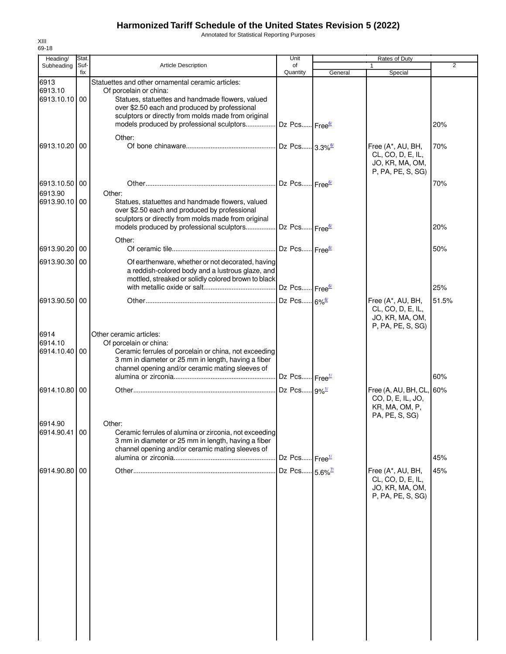Annotated for Statistical Reporting Purposes

| Heading/                                  | Stat.       |                                                                                                                                                                                                                                                                                      | Unit                                                 |                        | Rates of Duty                                                                     |                |  |
|-------------------------------------------|-------------|--------------------------------------------------------------------------------------------------------------------------------------------------------------------------------------------------------------------------------------------------------------------------------------|------------------------------------------------------|------------------------|-----------------------------------------------------------------------------------|----------------|--|
| Subheading                                | Suf-<br>fix | Article Description                                                                                                                                                                                                                                                                  | of<br>Quantity                                       | General                | 1.<br>Special                                                                     | $\overline{2}$ |  |
| 6913<br>6913.10<br>6913.10.10 00          |             | Statuettes and other ornamental ceramic articles:<br>Of porcelain or china:<br>Statues, statuettes and handmade flowers, valued<br>over \$2.50 each and produced by professional<br>sculptors or directly from molds made from original<br>models produced by professional sculptors | Dz Pcs Free <sup>6/</sup>                            |                        |                                                                                   | 20%            |  |
| 6913.10.20                                | 00          | Other:                                                                                                                                                                                                                                                                               | Dz Pcs 3.3% <sup>6/</sup>                            |                        | Free (A*, AU, BH,<br>CL, CO, D, E, IL,<br>JO, KR, MA, OM,                         | 70%            |  |
| 6913.10.50 00<br>6913.90<br>6913.90.10 00 |             | Other:<br>Statues, statuettes and handmade flowers, valued<br>over \$2.50 each and produced by professional<br>sculptors or directly from molds made from original                                                                                                                   | Dz Pcs Free <sup>6/</sup>                            |                        | P, PA, PE, S, SG)                                                                 | 70%            |  |
|                                           |             | models produced by professional sculptors<br>Other:                                                                                                                                                                                                                                  | Dz Pcs Free <sup>6/</sup>                            |                        |                                                                                   | 20%            |  |
| 6913.90.20 00<br>6913.90.30 00            |             | Of earthenware, whether or not decorated, having<br>a reddish-colored body and a lustrous glaze, and<br>mottled, streaked or solidly colored brown to black                                                                                                                          | Dz Pcs Free <sup>6/</sup>                            |                        |                                                                                   | 50%            |  |
| 6913.90.50 00                             |             |                                                                                                                                                                                                                                                                                      | Dz Pcs Free <sup>6/</sup><br>Dz Pcs 6% <sup>6/</sup> |                        | Free (A*, AU, BH,<br>CL, CO, D, E, IL,<br>JO, KR, MA, OM,                         | 25%<br>51.5%   |  |
| 6914<br>6914.10<br>6914.10.40 00          |             | Other ceramic articles:<br>Of porcelain or china:<br>Ceramic ferrules of porcelain or china, not exceeding<br>3 mm in diameter or 25 mm in length, having a fiber<br>channel opening and/or ceramic mating sleeves of                                                                | Dz Pcs Free <sup>1/</sup>                            |                        | P, PA, PE, S, SG)                                                                 | 60%            |  |
| 6914.10.80 00                             |             |                                                                                                                                                                                                                                                                                      | Dz Pcs 9%1/                                          |                        | Free (A, AU, BH, CL, 60%<br>CO, D, E, IL, JO,<br>KR, MA, OM, P,<br>PA, PE, S, SG) |                |  |
| 6914.90<br>6914.90.41 00                  |             | Other:<br>Ceramic ferrules of alumina or zirconia, not exceeding<br>3 mm in diameter or 25 mm in length, having a fiber<br>channel opening and/or ceramic mating sleeves of                                                                                                          | Dz Pcs                                               | ⊶ Free <sup>1/</sup>   |                                                                                   | 45%            |  |
| 6914.90.80 00                             |             |                                                                                                                                                                                                                                                                                      | Dz Pcs                                               | $-5.6\%$ <sup>7/</sup> | Free (A*, AU, BH,<br>CL, CO, D, E, IL,<br>JO, KR, MA, OM,<br>P, PA, PE, S, SG)    | 45%            |  |
|                                           |             |                                                                                                                                                                                                                                                                                      |                                                      |                        |                                                                                   |                |  |